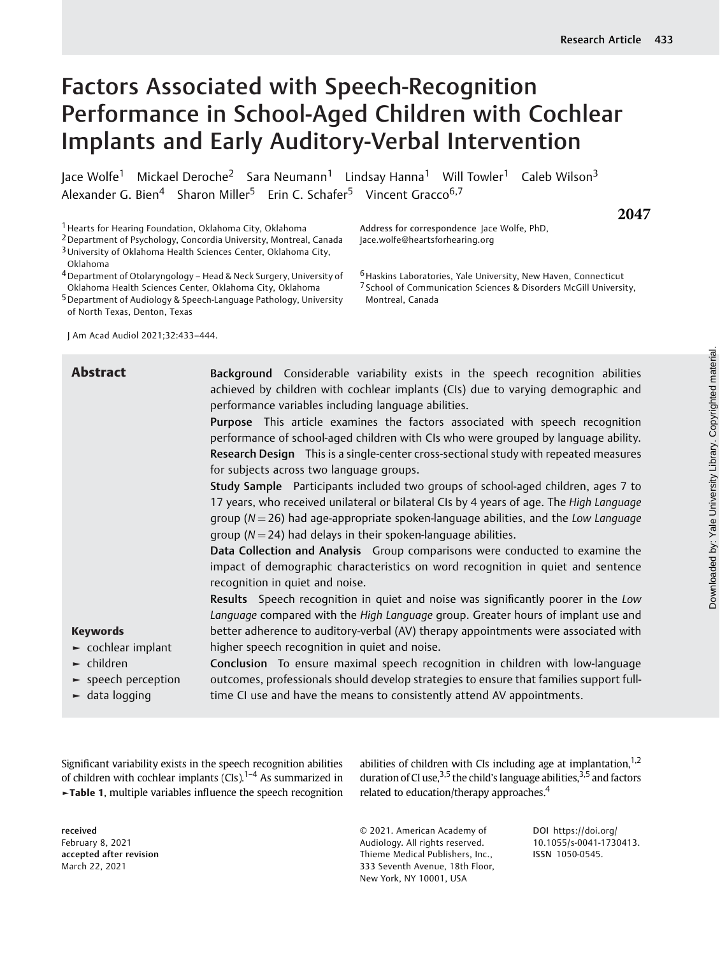**2047**

# Factors Associated with Speech-Recognition Performance in School-Aged Children with Cochlear Implants and Early Auditory-Verbal Intervention

Jace Wolfe<sup>1</sup> Mickael Deroche<sup>2</sup> Sara Neumann<sup>1</sup> Lindsay Hanna<sup>1</sup> Will Towler<sup>1</sup> Caleb Wilson<sup>3</sup> Alexander G. Bien<sup>4</sup> Sharon Miller<sup>5</sup> Erin C. Schafer<sup>5</sup> Vincent Gracco<sup>6,7</sup>

1Hearts for Hearing Foundation, Oklahoma City, Oklahoma

2Department of Psychology, Concordia University, Montreal, Canada

3University of Oklahoma Health Sciences Center, Oklahoma City,

Oklahoma

4Department of Otolaryngology – Head & Neck Surgery, University of Oklahoma Health Sciences Center, Oklahoma City, Oklahoma

5Department of Audiology & Speech-Language Pathology, University of North Texas, Denton, Texas

J Am Acad Audiol 2021;32:433–444.

Address for correspondence Jace Wolfe, PhD, Jace.wolfe@heartsforhearing.org

6Haskins Laboratories, Yale University, New Haven, Connecticut 7 School of Communication Sciences & Disorders McGill University, Montreal, Canada

| <b>Abstract</b>                                                                                                 | Background Considerable variability exists in the speech recognition abilities<br>achieved by children with cochlear implants (CIs) due to varying demographic and<br>performance variables including language abilities.<br>Purpose This article examines the factors associated with speech recognition<br>performance of school-aged children with CIs who were grouped by language ability.<br>Research Design This is a single-center cross-sectional study with repeated measures |
|-----------------------------------------------------------------------------------------------------------------|-----------------------------------------------------------------------------------------------------------------------------------------------------------------------------------------------------------------------------------------------------------------------------------------------------------------------------------------------------------------------------------------------------------------------------------------------------------------------------------------|
|                                                                                                                 | for subjects across two language groups.                                                                                                                                                                                                                                                                                                                                                                                                                                                |
|                                                                                                                 | Study Sample Participants included two groups of school-aged children, ages 7 to<br>17 years, who received unilateral or bilateral CIs by 4 years of age. The High Language<br>group ( $N = 26$ ) had age-appropriate spoken-language abilities, and the Low Language<br>group ( $N = 24$ ) had delays in their spoken-language abilities.                                                                                                                                              |
|                                                                                                                 | Data Collection and Analysis Group comparisons were conducted to examine the<br>impact of demographic characteristics on word recognition in quiet and sentence<br>recognition in quiet and noise.                                                                                                                                                                                                                                                                                      |
|                                                                                                                 | Results Speech recognition in quiet and noise was significantly poorer in the Low<br>Language compared with the High Language group. Greater hours of implant use and                                                                                                                                                                                                                                                                                                                   |
| <b>Keywords</b>                                                                                                 | better adherence to auditory-verbal (AV) therapy appointments were associated with                                                                                                                                                                                                                                                                                                                                                                                                      |
| $\blacktriangleright$ cochlear implant                                                                          | higher speech recognition in quiet and noise.                                                                                                                                                                                                                                                                                                                                                                                                                                           |
| $\blacktriangleright$ children<br>$\blacktriangleright$ speech perception<br>$\blacktriangleright$ data logging | Conclusion To ensure maximal speech recognition in children with low-language<br>outcomes, professionals should develop strategies to ensure that families support full-<br>time CI use and have the means to consistently attend AV appointments.                                                                                                                                                                                                                                      |

Significant variability exists in the speech recognition abilities of children with cochlear implants  $(CIs)$ .<sup>1–4</sup> As summarized in ►Table 1, multiple variables influence the speech recognition

received February 8, 2021 accepted after revision March 22, 2021

abilities of children with CIs including age at implantation, $1,2$ duration of CI use,  $3,5$  the child's language abilities,  $3,5$  and factors related to education/therapy approaches.<sup>4</sup>

© 2021. American Academy of Audiology. All rights reserved. Thieme Medical Publishers, Inc., 333 Seventh Avenue, 18th Floor, New York, NY 10001, USA

DOI [https://doi.org/](https://doi.org/10.1055/s-0041-1730413) [10.1055/s-0041-1730413](https://doi.org/10.1055/s-0041-1730413). ISSN 1050-0545.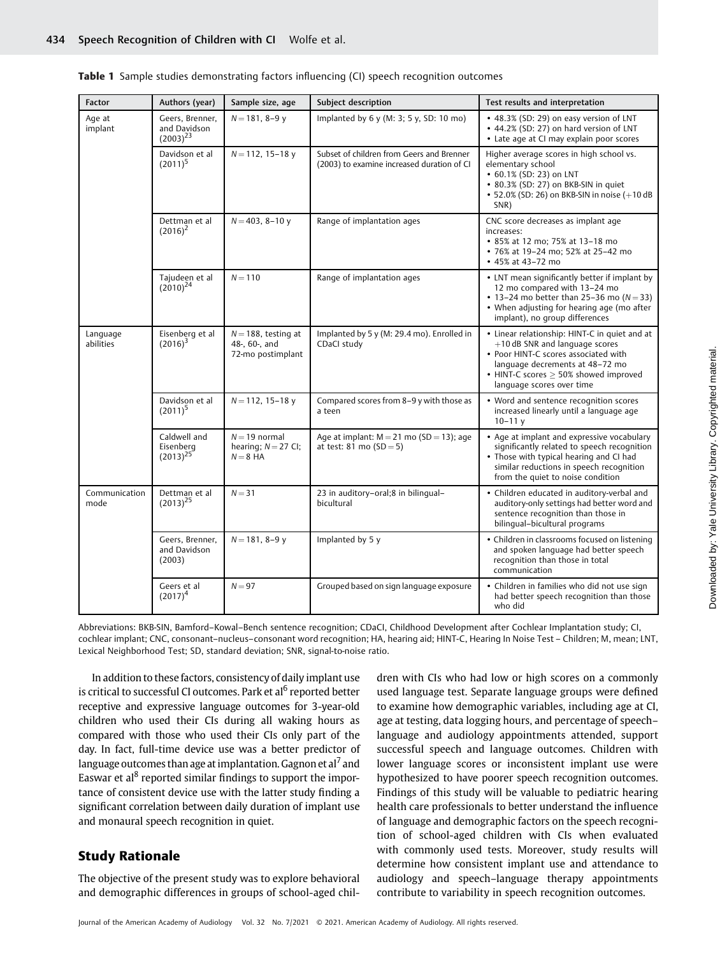|  | Table 1 Sample studies demonstrating factors influencing (CI) speech recognition outcomes |  |  |  |  |  |  |  |  |
|--|-------------------------------------------------------------------------------------------|--|--|--|--|--|--|--|--|
|--|-------------------------------------------------------------------------------------------|--|--|--|--|--|--|--|--|

| <b>Factor</b>         | Authors (year)                                   | Sample size, age                                             | Subject description                                                                     | Test results and interpretation                                                                                                                                                                                                                 |
|-----------------------|--------------------------------------------------|--------------------------------------------------------------|-----------------------------------------------------------------------------------------|-------------------------------------------------------------------------------------------------------------------------------------------------------------------------------------------------------------------------------------------------|
| Age at<br>implant     | Geers, Brenner,<br>and Davidson<br>$(2003)^{23}$ | $N = 181, 8-9y$                                              | Implanted by 6 y (M: 3; 5 y, SD: 10 mo)                                                 | • 48.3% (SD: 29) on easy version of LNT<br>• 44.2% (SD: 27) on hard version of LNT<br>• Late age at CI may explain poor scores                                                                                                                  |
|                       | Davidson et al<br>$(2011)^5$                     | $N = 112$ , 15-18 y                                          | Subset of children from Geers and Brenner<br>(2003) to examine increased duration of CI | Higher average scores in high school vs.<br>elementary school<br>• 60.1% (SD: 23) on LNT<br>• 80.3% (SD: 27) on BKB-SIN in quiet<br>• 52.0% (SD: 26) on BKB-SIN in noise (+10 dB<br>SNR)                                                        |
|                       | Dettman et al<br>$(2016)^2$                      | $N = 403$ , 8-10 y                                           | Range of implantation ages                                                              | CNC score decreases as implant age<br>increases:<br>• 85% at 12 mo; 75% at 13-18 mo<br>• 76% at 19-24 mo; 52% at 25-42 mo<br>• 45% at 43-72 mo                                                                                                  |
|                       | Tajudeen et al<br>$(2010)^{24}$                  | $N = 110$                                                    | Range of implantation ages                                                              | • LNT mean significantly better if implant by<br>12 mo compared with 13-24 mo<br>• 13-24 mo better than 25-36 mo $(N = 33)$<br>• When adjusting for hearing age (mo after<br>implant), no group differences                                     |
| Language<br>abilities | Eisenberg et al<br>$(2016)^3$                    | $N = 188$ , testing at<br>48-, 60-, and<br>72-mo postimplant | Implanted by 5 y (M: 29.4 mo). Enrolled in<br>CDaCI study                               | • Linear relationship: HINT-C in quiet and at<br>$+10$ dB SNR and language scores<br>• Poor HINT-C scores associated with<br>language decrements at 48-72 mo<br>$\bullet$ HINT-C scores $\geq$ 50% showed improved<br>language scores over time |
|                       | Davidson et al<br>$(2011)^5$                     | $N = 112$ , 15-18 y                                          | Compared scores from 8-9 y with those as<br>a teen                                      | • Word and sentence recognition scores<br>increased linearly until a language age<br>$10 - 11y$                                                                                                                                                 |
|                       | Caldwell and<br>Eisenberg<br>$(2013)^{25}$       | $N = 19$ normal<br>hearing; $N = 27$ CI;<br>$N = 8$ HA       | Age at implant: $M = 21$ mo (SD = 13); age<br>at test: $81 \text{ mo} (SD = 5)$         | • Age at implant and expressive vocabulary<br>significantly related to speech recognition<br>• Those with typical hearing and CI had<br>similar reductions in speech recognition<br>from the quiet to noise condition                           |
| Communication<br>mode | Dettman et al<br>$(2013)^{25}$                   | $N = 31$                                                     | 23 in auditory-oral;8 in bilingual-<br>bicultural                                       | • Children educated in auditory-verbal and<br>auditory-only settings had better word and<br>sentence recognition than those in<br>bilingual-bicultural programs                                                                                 |
|                       | Geers, Brenner,<br>and Davidson<br>(2003)        | $N = 181, 8-9y$                                              | Implanted by 5 y                                                                        | • Children in classrooms focused on listening<br>and spoken language had better speech<br>recognition than those in total<br>communication                                                                                                      |
|                       | Geers et al<br>$(2017)^4$                        | $N = 97$                                                     | Grouped based on sign language exposure                                                 | • Children in families who did not use sign<br>had better speech recognition than those<br>who did                                                                                                                                              |

Abbreviations: BKB-SIN, Bamford–Kowal–Bench sentence recognition; CDaCI, Childhood Development after Cochlear Implantation study; CI, cochlear implant; CNC, consonant–nucleus–consonant word recognition; HA, hearing aid; HINT-C, Hearing In Noise Test – Children; M, mean; LNT, Lexical Neighborhood Test; SD, standard deviation; SNR, signal-to-noise ratio.

In addition to these factors, consistency of daily implant use is critical to successful CI outcomes. Park et al<sup>6</sup> reported better receptive and expressive language outcomes for 3-year-old children who used their CIs during all waking hours as compared with those who used their CIs only part of the day. In fact, full-time device use was a better predictor of language outcomes than age at implantation. Gagnon et al<sup> $\prime$ </sup> and Easwar et al<sup>8</sup> reported similar findings to support the importance of consistent device use with the latter study finding a significant correlation between daily duration of implant use and monaural speech recognition in quiet.

## Study Rationale

The objective of the present study was to explore behavioral and demographic differences in groups of school-aged children with CIs who had low or high scores on a commonly used language test. Separate language groups were defined to examine how demographic variables, including age at CI, age at testing, data logging hours, and percentage of speech– language and audiology appointments attended, support successful speech and language outcomes. Children with lower language scores or inconsistent implant use were hypothesized to have poorer speech recognition outcomes. Findings of this study will be valuable to pediatric hearing health care professionals to better understand the influence of language and demographic factors on the speech recognition of school-aged children with CIs when evaluated with commonly used tests. Moreover, study results will determine how consistent implant use and attendance to audiology and speech–language therapy appointments contribute to variability in speech recognition outcomes.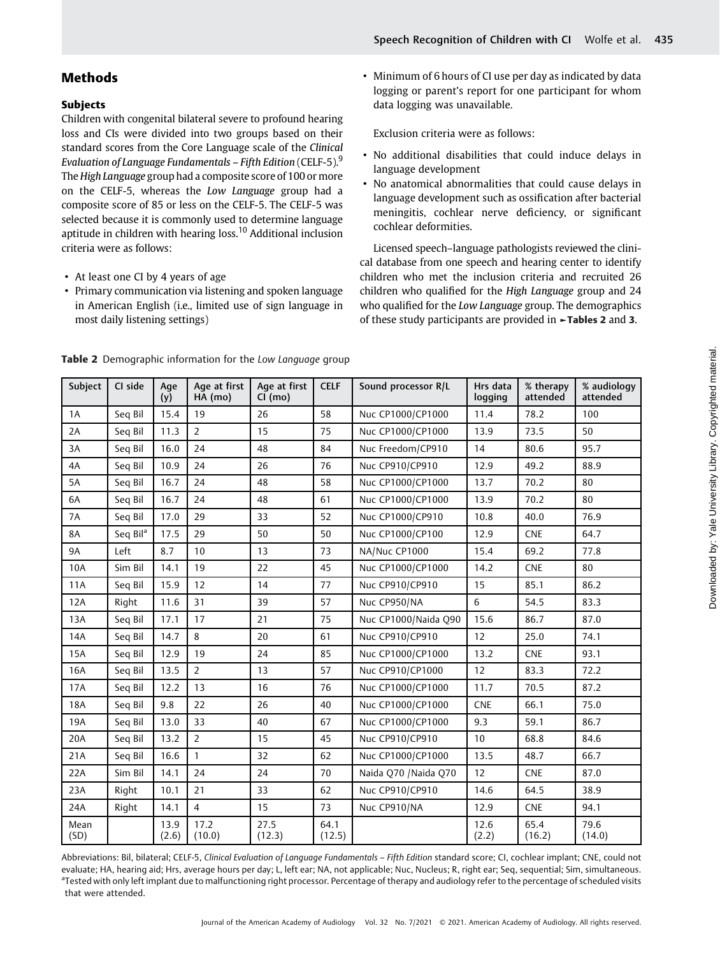## Methods

## Subjects

Children with congenital bilateral severe to profound hearing loss and CIs were divided into two groups based on their standard scores from the Core Language scale of the Clinical Evaluation of Language Fundamentals – Fifth Edition (CELF-5).<sup>9</sup> The High Language group had a composite score of 100 or more on the CELF-5, whereas the Low Language group had a composite score of 85 or less on the CELF-5. The CELF-5 was selected because it is commonly used to determine language aptitude in children with hearing loss.<sup>10</sup> Additional inclusion criteria were as follows:

- At least one CI by 4 years of age
- Primary communication via listening and spoken language in American English (i.e., limited use of sign language in most daily listening settings)

• Minimum of 6 hours of CI use per day as indicated by data logging or parent's report for one participant for whom data logging was unavailable.

Exclusion criteria were as follows:

- No additional disabilities that could induce delays in language development
- No anatomical abnormalities that could cause delays in language development such as ossification after bacterial meningitis, cochlear nerve deficiency, or significant cochlear deformities.

Licensed speech–language pathologists reviewed the clinical database from one speech and hearing center to identify children who met the inclusion criteria and recruited 26 children who qualified for the High Language group and 24 who qualified for the Low Language group. The demographics of these study participants are provided in ►Tables 2 and 3.

| Subject      | CI side              | Age<br>(y)    | Age at first<br>$HA$ (mo) | Age at first<br>CI (mo) | <b>CELF</b>    | Sound processor R/L   | Hrs data<br>logging | % therapy<br>attended | % audiology<br>attended |
|--------------|----------------------|---------------|---------------------------|-------------------------|----------------|-----------------------|---------------------|-----------------------|-------------------------|
| 1A           | Seq Bil              | 15.4          | 19                        | 26                      | 58             | Nuc CP1000/CP1000     | 11.4                | 78.2                  | 100                     |
| 2A           | Seq Bil              | 11.3          | $\overline{2}$            | 15                      | 75             | Nuc CP1000/CP1000     | 13.9                | 73.5                  | 50                      |
| 3A           | Seq Bil              | 16.0          | 24                        | 48                      | 84             | Nuc Freedom/CP910     | 14                  | 80.6                  | 95.7                    |
| 4A           | Seq Bil              | 10.9          | 24                        | 26                      | 76             | Nuc CP910/CP910       | 12.9                | 49.2                  | 88.9                    |
| 5A           | Seq Bil              | 16.7          | 24                        | 48                      | 58             | Nuc CP1000/CP1000     | 13.7                | 70.2                  | 80                      |
| 6A           | Seq Bil              | 16.7          | 24                        | 48                      | 61             | Nuc CP1000/CP1000     | 13.9                | 70.2                  | 80                      |
| 7A           | Seq Bil              | 17.0          | 29                        | 33                      | 52             | Nuc CP1000/CP910      | 10.8                | 40.0                  | 76.9                    |
| <b>8A</b>    | Seq Bil <sup>a</sup> | 17.5          | 29                        | 50                      | 50             | Nuc CP1000/CP100      | 12.9                | <b>CNE</b>            | 64.7                    |
| <b>9A</b>    | Left                 | 8.7           | 10                        | 13                      | 73             | NA/Nuc CP1000         | 15.4                | 69.2                  | 77.8                    |
| 10A          | Sim Bil              | 14.1          | 19                        | 22                      | 45             | Nuc CP1000/CP1000     | 14.2                | <b>CNE</b>            | 80                      |
| 11A          | Seg Bil              | 15.9          | 12                        | 14                      | 77             | Nuc CP910/CP910       | 15                  | 85.1                  | 86.2                    |
| 12A          | Right                | 11.6          | 31                        | 39                      | 57             | Nuc CP950/NA          | 6                   | 54.5                  | 83.3                    |
| 13A          | Seq Bil              | 17.1          | 17                        | 21                      | 75             | Nuc CP1000/Naida Q90  | 15.6                | 86.7                  | 87.0                    |
| 14A          | Seq Bil              | 14.7          | 8                         | 20                      | 61             | Nuc CP910/CP910       | 12                  | 25.0                  | 74.1                    |
| <b>15A</b>   | Seq Bil              | 12.9          | 19                        | 24                      | 85             | Nuc CP1000/CP1000     | 13.2                | <b>CNE</b>            | 93.1                    |
| 16A          | Seq Bil              | 13.5          | $\overline{2}$            | 13                      | 57             | Nuc CP910/CP1000      | 12                  | 83.3                  | 72.2                    |
| 17A          | Seq Bil              | 12.2          | 13                        | 16                      | 76             | Nuc CP1000/CP1000     | 11.7                | 70.5                  | 87.2                    |
| 18A          | Seq Bil              | 9.8           | 22                        | 26                      | 40             | Nuc CP1000/CP1000     | <b>CNE</b>          | 66.1                  | 75.0                    |
| 19A          | Seq Bil              | 13.0          | 33                        | 40                      | 67             | Nuc CP1000/CP1000     | 9.3                 | 59.1                  | 86.7                    |
| 20A          | Seq Bil              | 13.2          | $\overline{2}$            | 15                      | 45             | Nuc CP910/CP910       | 10                  | 68.8                  | 84.6                    |
| 21A          | Seq Bil              | 16.6          | $\mathbf{1}$              | 32                      | 62             | Nuc CP1000/CP1000     | 13.5                | 48.7                  | 66.7                    |
| 22A          | Sim Bil              | 14.1          | 24                        | 24                      | 70             | Naida Q70 / Naida Q70 | 12                  | <b>CNE</b>            | 87.0                    |
| 23A          | Right                | 10.1          | 21                        | 33                      | 62             | Nuc CP910/CP910       | 14.6                | 64.5                  | 38.9                    |
| 24A          | Right                | 14.1          | $\overline{4}$            | 15                      | 73             | Nuc CP910/NA          | 12.9                | <b>CNE</b>            | 94.1                    |
| Mean<br>(SD) |                      | 13.9<br>(2.6) | 17.2<br>(10.0)            | 27.5<br>(12.3)          | 64.1<br>(12.5) |                       | 12.6<br>(2.2)       | 65.4<br>(16.2)        | 79.6<br>(14.0)          |

Table 2 Demographic information for the Low Language group

Abbreviations: Bil, bilateral; CELF-5, Clinical Evaluation of Language Fundamentals – Fifth Edition standard score; CI, cochlear implant; CNE, could not evaluate; HA, hearing aid; Hrs, average hours per day; L, left ear; NA, not applicable; Nuc, Nucleus; R, right ear; Seq, sequential; Sim, simultaneous. <sup>a</sup>Tested with only left implant due to malfunctioning right processor. Percentage of therapy and audiology refer to the percentage of scheduled visits that were attended.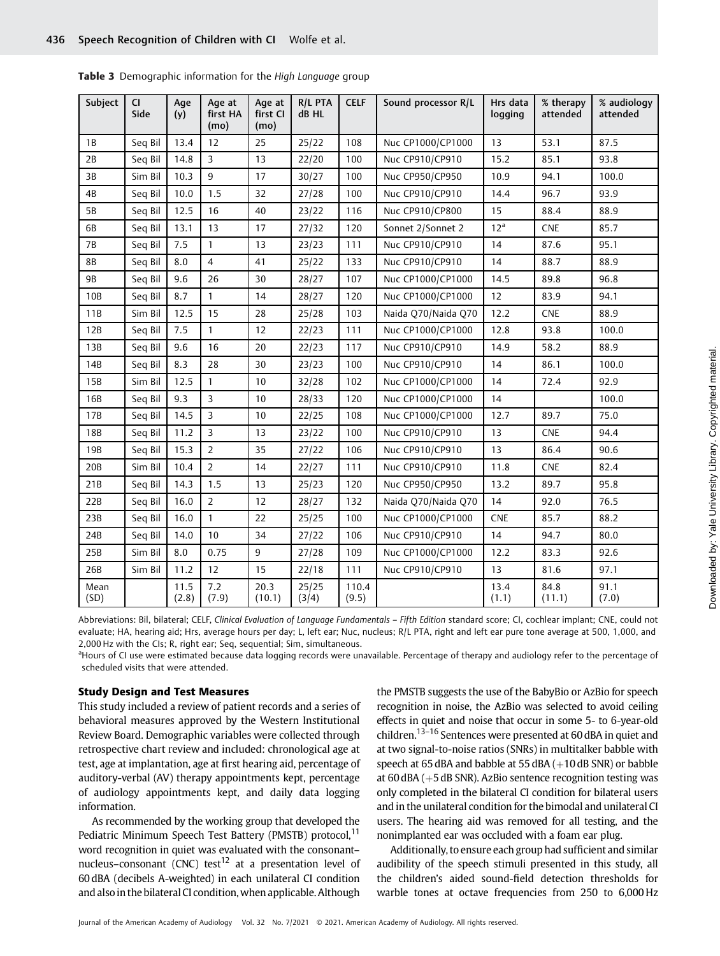| Subject      | <b>CI</b><br>Side | Age<br>(y)    | Age at<br>first HA<br>(mo) | Age at<br>first CI<br>(mo) | R/L PTA<br>dB HL | <b>CELF</b>    | Sound processor R/L | Hrs data<br>logging | % therapy<br>attended | % audiology<br>attended |
|--------------|-------------------|---------------|----------------------------|----------------------------|------------------|----------------|---------------------|---------------------|-----------------------|-------------------------|
| 1B           | Seq Bil           | 13.4          | 12                         | 25                         | 25/22            | 108            | Nuc CP1000/CP1000   | 13                  | 53.1                  | 87.5                    |
| 2B           | Seq Bil           | 14.8          | $\overline{3}$             | 13                         | 22/20            | 100            | Nuc CP910/CP910     | 15.2                | 85.1                  | 93.8                    |
| 3B           | Sim Bil           | 10.3          | $\overline{9}$             | 17                         | 30/27            | 100            | Nuc CP950/CP950     | 10.9                | 94.1                  | 100.0                   |
| 4B           | Seq Bil           | 10.0          | 1.5                        | 32                         | 27/28            | 100            | Nuc CP910/CP910     | 14.4                | 96.7                  | 93.9                    |
| 5B           | Seq Bil           | 12.5          | 16                         | 40                         | 23/22            | 116            | Nuc CP910/CP800     | 15                  | 88.4                  | 88.9                    |
| 6B           | Seq Bil           | 13.1          | 13                         | 17                         | 27/32            | 120            | Sonnet 2/Sonnet 2   | 12 <sup>a</sup>     | <b>CNE</b>            | 85.7                    |
| 7В           | Seq Bil           | 7.5           | $\mathbf{1}$               | 13                         | 23/23            | 111            | Nuc CP910/CP910     | 14                  | 87.6                  | 95.1                    |
| 8B           | Seq Bil           | 8.0           | $\overline{4}$             | 41                         | 25/22            | 133            | Nuc CP910/CP910     | 14                  | 88.7                  | 88.9                    |
| <b>9B</b>    | Seq Bil           | 9.6           | 26                         | 30                         | 28/27            | 107            | Nuc CP1000/CP1000   | 14.5                | 89.8                  | 96.8                    |
| 10B          | Seq Bil           | 8.7           | $\mathbf{1}$               | 14                         | 28/27            | 120            | Nuc CP1000/CP1000   | 12                  | 83.9                  | 94.1                    |
| 11B          | Sim Bil           | 12.5          | 15                         | 28                         | 25/28            | 103            | Naida Q70/Naida Q70 | 12.2                | <b>CNE</b>            | 88.9                    |
| 12B          | Seq Bil           | 7.5           | $\mathbf{1}$               | 12                         | 22/23            | 111            | Nuc CP1000/CP1000   | 12.8                | 93.8                  | 100.0                   |
| 13B          | Seq Bil           | 9.6           | 16                         | 20                         | 22/23            | 117            | Nuc CP910/CP910     | 14.9                | 58.2                  | 88.9                    |
| 14B          | Seq Bil           | 8.3           | 28                         | 30                         | 23/23            | 100            | Nuc CP910/CP910     | 14                  | 86.1                  | 100.0                   |
| 15B          | Sim Bil           | 12.5          | $\mathbf{1}$               | 10                         | 32/28            | 102            | Nuc CP1000/CP1000   | 14                  | 72.4                  | 92.9                    |
| 16B          | Seq Bil           | 9.3           | $\overline{3}$             | 10                         | 28/33            | 120            | Nuc CP1000/CP1000   | 14                  |                       | 100.0                   |
| 17B          | Seq Bil           | 14.5          | $\overline{3}$             | 10                         | 22/25            | 108            | Nuc CP1000/CP1000   | 12.7                | 89.7                  | 75.0                    |
| 18B          | Seq Bil           | 11.2          | $\overline{3}$             | 13                         | 23/22            | 100            | Nuc CP910/CP910     | 13                  | ${\sf CNE}$           | 94.4                    |
| 19B          | Seq Bil           | 15.3          | $\overline{2}$             | 35                         | 27/22            | 106            | Nuc CP910/CP910     | 13                  | 86.4                  | 90.6                    |
| 20B          | Sim Bil           | 10.4          | $\overline{2}$             | 14                         | 22/27            | 111            | Nuc CP910/CP910     | 11.8                | <b>CNE</b>            | 82.4                    |
| 21B          | Seq Bil           | 14.3          | 1.5                        | 13                         | 25/23            | 120            | Nuc CP950/CP950     | 13.2                | 89.7                  | 95.8                    |
| 22B          | Seq Bil           | 16.0          | $\overline{2}$             | 12                         | 28/27            | 132            | Naida O70/Naida O70 | 14                  | 92.0                  | 76.5                    |
| 23B          | Seq Bil           | 16.0          | $\mathbf{1}$               | 22                         | 25/25            | 100            | Nuc CP1000/CP1000   | <b>CNE</b>          | 85.7                  | 88.2                    |
| 24B          | Seq Bil           | 14.0          | 10                         | 34                         | 27/22            | 106            | Nuc CP910/CP910     | 14                  | 94.7                  | 80.0                    |
| 25B          | Sim Bil           | 8.0           | 0.75                       | 9                          | 27/28            | 109            | Nuc CP1000/CP1000   | 12.2                | 83.3                  | 92.6                    |
| 26B          | Sim Bil           | 11.2          | 12                         | 15                         | 22/18            | 111            | Nuc CP910/CP910     | 13                  | 81.6                  | 97.1                    |
| Mean<br>(SD) |                   | 11.5<br>(2.8) | 7.2<br>(7.9)               | 20.3<br>(10.1)             | 25/25<br>(3/4)   | 110.4<br>(9.5) |                     | 13.4<br>(1.1)       | 84.8<br>(11.1)        | 91.1<br>(7.0)           |

Table 3 Demographic information for the High Language group

Abbreviations: Bil, bilateral; CELF, Clinical Evaluation of Language Fundamentals - Fifth Edition standard score; CI, cochlear implant; CNE, could not evaluate; HA, hearing aid; Hrs, average hours per day; L, left ear; Nuc, nucleus; R/L PTA, right and left ear pure tone average at 500, 1,000, and 2,000 Hz with the CIs; R, right ear; Seq, sequential; Sim, simultaneous.

<sup>a</sup>Hours of CI use were estimated because data logging records were unavailable. Percentage of therapy and audiology refer to the percentage of scheduled visits that were attended.

#### Study Design and Test Measures

This study included a review of patient records and a series of behavioral measures approved by the Western Institutional Review Board. Demographic variables were collected through retrospective chart review and included: chronological age at test, age at implantation, age at first hearing aid, percentage of auditory-verbal (AV) therapy appointments kept, percentage of audiology appointments kept, and daily data logging information.

As recommended by the working group that developed the Pediatric Minimum Speech Test Battery (PMSTB) protocol,<sup>11</sup> word recognition in quiet was evaluated with the consonant– nucleus–consonant (CNC) test<sup>12</sup> at a presentation level of 60 dBA (decibels A-weighted) in each unilateral CI condition and also in the bilateral CI condition, when applicable. Although

the PMSTB suggests the use of the BabyBio or AzBio for speech recognition in noise, the AzBio was selected to avoid ceiling effects in quiet and noise that occur in some 5- to 6-year-old children.<sup>13–16</sup> Sentences were presented at 60 dBA in quiet and at two signal-to-noise ratios (SNRs) in multitalker babble with speech at 65 dBA and babble at 55 dBA  $(+10$  dB SNR) or babble at 60 dBA  $(+5$  dB SNR). AzBio sentence recognition testing was only completed in the bilateral CI condition for bilateral users and in the unilateral condition for the bimodal and unilateral CI users. The hearing aid was removed for all testing, and the nonimplanted ear was occluded with a foam ear plug.

Additionally, to ensure each group had sufficient and similar audibility of the speech stimuli presented in this study, all the children's aided sound-field detection thresholds for warble tones at octave frequencies from 250 to 6,000 Hz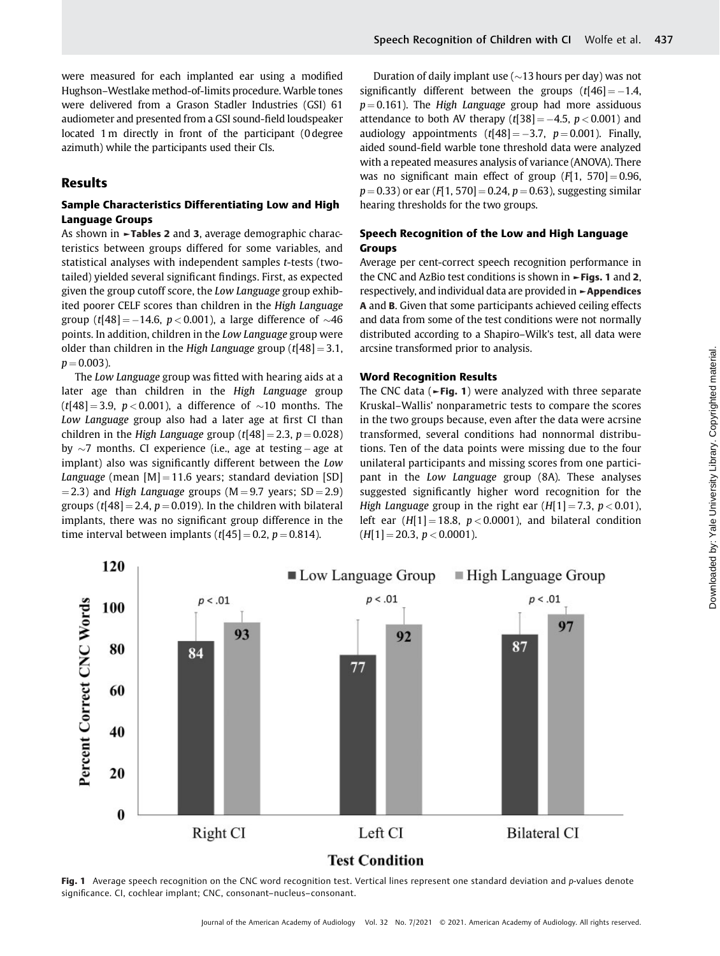were measured for each implanted ear using a modified Hughson–Westlake method-of-limits procedure. Warble tones were delivered from a Grason Stadler Industries (GSI) 61 audiometer and presented from a GSI sound-field loudspeaker located 1 m directly in front of the participant (0 degree azimuth) while the participants used their CIs.

## Results

## Sample Characteristics Differentiating Low and High Language Groups

As shown in ►Tables 2 and 3, average demographic characteristics between groups differed for some variables, and statistical analyses with independent samples t-tests (twotailed) yielded several significant findings. First, as expected given the group cutoff score, the Low Language group exhibited poorer CELF scores than children in the High Language group (t[48] = -14.6,  $p < 0.001$ ), a large difference of  $\sim$ 46 points. In addition, children in the Low Language group were older than children in the High Language group  $(t[48] = 3.1,$  $p = 0.003$ ).

The Low Language group was fitted with hearing aids at a later age than children in the High Language group  $(t[48] = 3.9, p < 0.001)$ , a difference of  $\sim 10$  months. The Low Language group also had a later age at first CI than children in the High Language group  $(t[48] = 2.3, p = 0.028)$ by  $\sim$ 7 months. CI experience (i.e., age at testing – age at implant) also was significantly different between the Low Language (mean  $[M] = 11.6$  years; standard deviation [SD]  $=$  2.3) and High Language groups (M  $=$  9.7 years; SD  $=$  2.9) groups (t[48] = 2.4,  $p = 0.019$ ). In the children with bilateral implants, there was no significant group difference in the time interval between implants  $(t[45] = 0.2, p = 0.814)$ .

Duration of daily implant use ( $\sim$ 13 hours per day) was not significantly different between the groups  $(t[46] = -1.4$ ,  $p = 0.161$ ). The High Language group had more assiduous attendance to both AV therapy  $(t[38] = -4.5, p < 0.001)$  and audiology appointments  $(t[48] = -3.7, p = 0.001)$ . Finally, aided sound-field warble tone threshold data were analyzed with a repeated measures analysis of variance (ANOVA). There was no significant main effect of group  $(F[1, 570] = 0.96$ ,  $p = 0.33$ ) or ear (F[1, 570] = 0.24,  $p = 0.63$ ), suggesting similar hearing thresholds for the two groups.

## Speech Recognition of the Low and High Language Groups

Average per cent-correct speech recognition performance in the CNC and AzBio test conditions is shown in ►Figs. 1 and 2, respectively, and individual data are provided in ►Appendices A and B. Given that some participants achieved ceiling effects and data from some of the test conditions were not normally distributed according to a Shapiro–Wilk's test, all data were arcsine transformed prior to analysis.

## Word Recognition Results

The CNC data ( $\blacktriangleright$ Fig. 1) were analyzed with three separate Kruskal–Wallis' nonparametric tests to compare the scores in the two groups because, even after the data were acrsine transformed, several conditions had nonnormal distributions. Ten of the data points were missing due to the four unilateral participants and missing scores from one participant in the Low Language group (8A). These analyses suggested significantly higher word recognition for the High Language group in the right ear  $(H[1] = 7.3, p < 0.01)$ , left ear  $(H[1] = 18.8, p < 0.0001)$ , and bilateral condition  $(H[1] = 20.3, p < 0.0001).$ 



Fig. 1 Average speech recognition on the CNC word recognition test. Vertical lines represent one standard deviation and p-values denote significance. CI, cochlear implant; CNC, consonant–nucleus–consonant.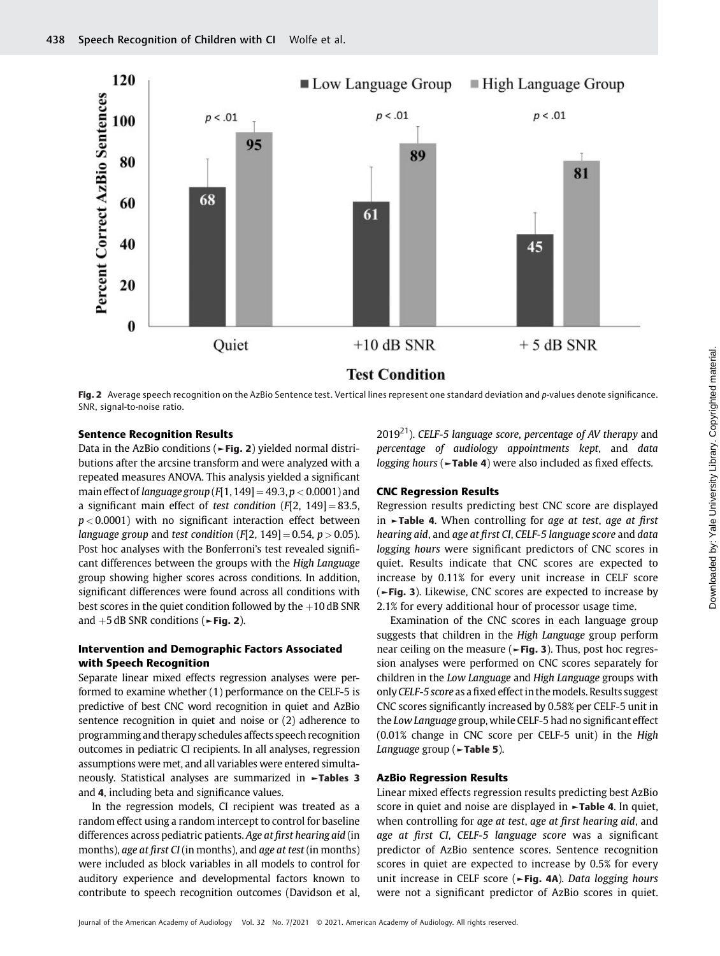

Fig. 2 Average speech recognition on the AzBio Sentence test. Vertical lines represent one standard deviation and p-values denote significance. SNR, signal-to-noise ratio.

## Sentence Recognition Results

Data in the AzBio conditions (►Fig. 2) yielded normal distributions after the arcsine transform and were analyzed with a repeated measures ANOVA. This analysis yielded a significant main effect of language group  $(F[1, 149] = 49.3, p < 0.0001)$  and a significant main effect of test condition  $(F[2, 149] = 83.5,$  $p < 0.0001$ ) with no significant interaction effect between language group and test condition (F[2, 149] = 0.54,  $p > 0.05$ ). Post hoc analyses with the Bonferroni's test revealed significant differences between the groups with the High Language group showing higher scores across conditions. In addition, significant differences were found across all conditions with best scores in the quiet condition followed by the  $+10$  dB SNR and  $+5$  dB SNR conditions ( $\blacktriangleright$  Fig. 2).

## Intervention and Demographic Factors Associated with Speech Recognition

Separate linear mixed effects regression analyses were performed to examine whether (1) performance on the CELF-5 is predictive of best CNC word recognition in quiet and AzBio sentence recognition in quiet and noise or (2) adherence to programming and therapy schedules affects speech recognition outcomes in pediatric CI recipients. In all analyses, regression assumptions were met, and all variables were entered simultaneously. Statistical analyses are summarized in ►Tables 3 and 4, including beta and significance values.

In the regression models, CI recipient was treated as a random effect using a random intercept to control for baseline differences across pediatric patients. Age at first hearing aid (in months), age at first CI (in months), and age at test (in months) were included as block variables in all models to control for auditory experience and developmental factors known to contribute to speech recognition outcomes (Davidson et al,

 $2019<sup>21</sup>$ ). CELF-5 language score, percentage of AV therapy and percentage of audiology appointments kept, and data logging hours (►Table 4) were also included as fixed effects.

#### CNC Regression Results

Regression results predicting best CNC score are displayed in ►Table 4. When controlling for age at test, age at first hearing aid, and age at first CI, CELF-5 language score and data logging hours were significant predictors of CNC scores in quiet. Results indicate that CNC scores are expected to increase by 0.11% for every unit increase in CELF score (►Fig. 3). Likewise, CNC scores are expected to increase by 2.1% for every additional hour of processor usage time.

Examination of the CNC scores in each language group suggests that children in the High Language group perform near ceiling on the measure ( $\blacktriangleright$ Fig. 3). Thus, post hoc regression analyses were performed on CNC scores separately for children in the Low Language and High Language groups with onlyCELF-5 score as afixed effect in themodels. Results suggest CNC scores significantly increased by 0.58% per CELF-5 unit in the Low Language group, while CELF-5 had no significant effect (0.01% change in CNC score per CELF-5 unit) in the High Language group (►Table 5).

#### AzBio Regression Results

Linear mixed effects regression results predicting best AzBio score in quiet and noise are displayed in **-Table 4.** In quiet, when controlling for age at test, age at first hearing aid, and age at first CI, CELF-5 language score was a significant predictor of AzBio sentence scores. Sentence recognition scores in quiet are expected to increase by 0.5% for every unit increase in CELF score (►Fig. 4A). Data logging hours were not a significant predictor of AzBio scores in quiet.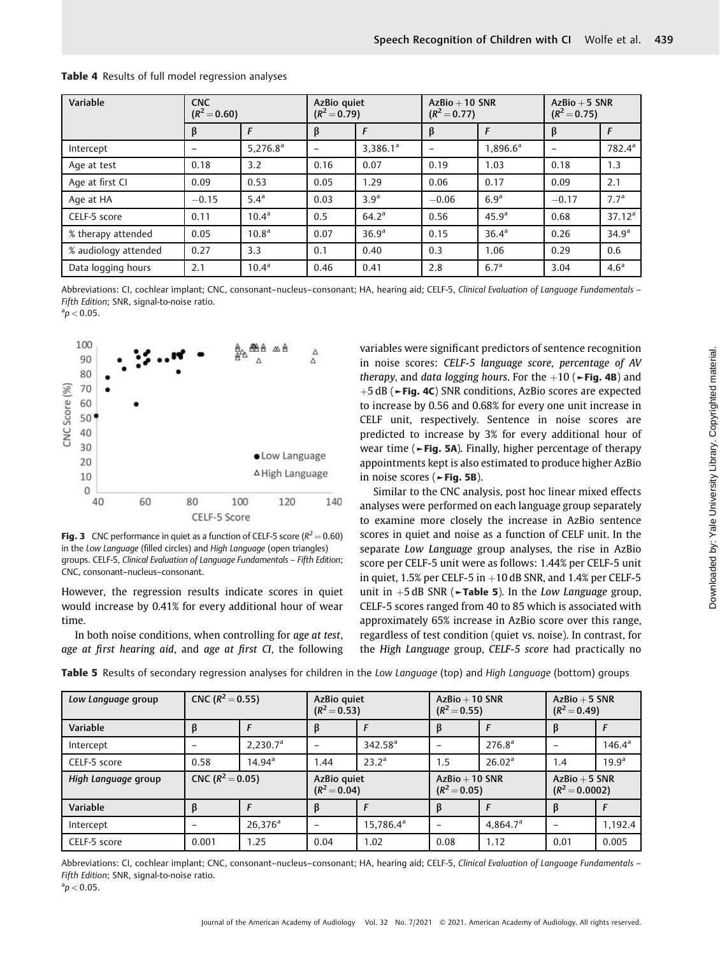| Variable             | <b>CNC</b><br>$(R^2 = 0.60)$ |                      | AzBio quiet<br>$(R^2 = 0.79)$ |                      | $AzBio + 10 SNR$<br>$(R^2 = 0.77)$ |                      | $AzBio + 5 SNR$<br>$(R^2 = 0.75)$ |                    |
|----------------------|------------------------------|----------------------|-------------------------------|----------------------|------------------------------------|----------------------|-----------------------------------|--------------------|
|                      | β                            |                      | β                             |                      | β                                  |                      | β                                 | F                  |
| Intercept            |                              | 5.276.8 <sup>a</sup> | $\overline{\phantom{0}}$      | 3.386.1 <sup>a</sup> |                                    | 1.896.6 <sup>a</sup> |                                   | 782.4 <sup>a</sup> |
| Age at test          | 0.18                         | 3.2                  | 0.16                          | 0.07                 | 0.19                               | 1.03                 | 0.18                              | 1.3                |
| Age at first CI      | 0.09                         | 0.53                 | 0.05                          | 1.29                 | 0.06                               | 0.17                 | 0.09                              | 2.1                |
| Age at HA            | $-0.15$                      | 5.4 <sup>a</sup>     | 0.03                          | 3.9 <sup>a</sup>     | $-0.06$                            | 6.9 <sup>a</sup>     | $-0.17$                           | 7.7 <sup>a</sup>   |
| CELF-5 score         | 0.11                         | $10.4^a$             | 0.5                           | $64.2^a$             | 0.56                               | 45.9 <sup>a</sup>    | 0.68                              | 37.12 <sup>a</sup> |
| % therapy attended   | 0.05                         | 10.8 <sup>a</sup>    | 0.07                          | 36.9 <sup>a</sup>    | 0.15                               | 36.4 <sup>a</sup>    | 0.26                              | 34.9 <sup>a</sup>  |
| % audiology attended | 0.27                         | 3.3                  | 0.1                           | 0.40                 | 0.3                                | 1.06                 | 0.29                              | 0.6                |
| Data logging hours   | 2.1                          | $10.4^a$             | 0.46                          | 0.41                 | 2.8                                | 6.7 <sup>a</sup>     | 3.04                              | 4.6 <sup>a</sup>   |

#### Table 4 Results of full model regression analyses

Abbreviations: CI, cochlear implant; CNC, consonant-nucleus-consonant; HA, hearing aid; CELF-5, Clinical Evaluation of Language Fundamentals -Fifth Edition; SNR, signal-to-noise ratio.

 $a_p < 0.05$ .



**Fig. 3** CNC performance in quiet as a function of CELF-5 score ( $R^2 = 0.60$ ) in the Low Language (filled circles) and High Language (open triangles) groups. CELF-5, Clinical Evaluation of Language Fundamentals – Fifth Edition; CNC, consonant–nucleus–consonant.

However, the regression results indicate scores in quiet would increase by 0.41% for every additional hour of wear time.

In both noise conditions, when controlling for age at test, age at first hearing aid, and age at first CI, the following variables were significant predictors of sentence recognition in noise scores: CELF-5 language score, percentage of AV therapy, and data logging hours. For the  $+10$  ( $\blacktriangleright$ Fig. 4B) and þ5 dB (►Fig. 4C) SNR conditions, AzBio scores are expected to increase by 0.56 and 0.68% for every one unit increase in CELF unit, respectively. Sentence in noise scores are predicted to increase by 3% for every additional hour of wear time (►Fig. 5A). Finally, higher percentage of therapy appointments kept is also estimated to produce higher AzBio in noise scores (►Fig. 5B).

Similar to the CNC analysis, post hoc linear mixed effects analyses were performed on each language group separately to examine more closely the increase in AzBio sentence scores in quiet and noise as a function of CELF unit. In the separate Low Language group analyses, the rise in AzBio score per CELF-5 unit were as follows: 1.44% per CELF-5 unit in quiet,  $1.5\%$  per CELF-5 in  $+10$  dB SNR, and  $1.4\%$  per CELF-5 unit in  $+5$  dB SNR ( $\blacktriangleright$ Table 5). In the Low Language group, CELF-5 scores ranged from 40 to 85 which is associated with approximately 65% increase in AzBio score over this range, regardless of test condition (quiet vs. noise). In contrast, for the High Language group, CELF-5 score had practically no

| Low Language group  | CNC ( $R^2 = 0.55$ ) |                      | AzBio quiet<br>$(R^2 = 0.53)$ |                       | $AzBio + 10 SNR$<br>$(R^2 = 0.55)$ |                      | $AzBio + 5 SNR$<br>$(R^2 = 0.49)$   |                   |
|---------------------|----------------------|----------------------|-------------------------------|-----------------------|------------------------------------|----------------------|-------------------------------------|-------------------|
| Variable            |                      |                      | B                             |                       | β                                  |                      |                                     |                   |
| Intercept           |                      | 2,230.7 <sup>a</sup> |                               | 342.58 <sup>a</sup>   |                                    | 276.8 <sup>a</sup>   |                                     | $146.4^{\circ}$   |
| CELF-5 score        | 0.58                 | $14.94^{\circ}$      | .44                           | $23.2^a$              | 1.5                                | 26.02 <sup>a</sup>   | 1.4                                 | 19.9 <sup>a</sup> |
| High Language group | CNC ( $R^2$ = 0.05)  |                      | AzBio quiet<br>$(R^2 = 0.04)$ |                       | $AzBio + 10 SNR$<br>$(R^2 = 0.05)$ |                      | $AzBio + 5 SNR$<br>$(R^2 = 0.0002)$ |                   |
| Variable            |                      |                      | B                             |                       | β                                  |                      | B                                   |                   |
| Intercept           |                      | $26,376^a$           |                               | 15,786.4 <sup>a</sup> |                                    | 4.864.7 <sup>a</sup> |                                     | 1,192.4           |
| CELF-5 score        | 0.001                | 1.25                 | 0.04                          | 1.02                  | 0.08                               | 1.12                 | 0.01                                | 0.005             |

Table 5 Results of secondary regression analyses for children in the Low Language (top) and High Language (bottom) groups

Abbreviations: CI, cochlear implant; CNC, consonant-nucleus-consonant; HA, hearing aid; CELF-5, Clinical Evaluation of Language Fundamentals -Fifth Edition; SNR, signal-to-noise ratio.

 $a_p < 0.05$ .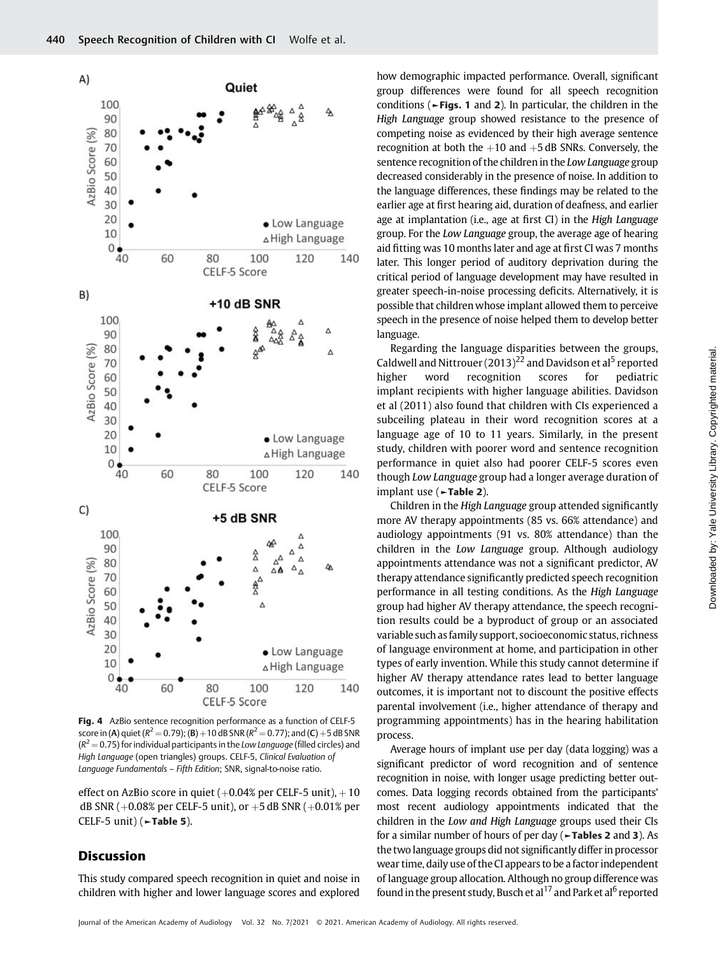

Fig. 4 AzBio sentence recognition performance as a function of CELF-5 score in (A) quiet ( $R^2 = 0.79$ ); (B)  $+10$  dB SNR ( $R^2 = 0.77$ ); and (C)  $+5$  dB SNR  $(R<sup>2</sup> = 0.75)$  for individual participants in the Low Language (filled circles) and High Language (open triangles) groups. CELF-5, Clinical Evaluation of Language Fundamentals – Fifth Edition; SNR, signal-to-noise ratio.

effect on AzBio score in quiet  $(+0.04\%)$  per CELF-5 unit),  $+10$ dB SNR ( $+0.08\%$  per CELF-5 unit), or  $+5$  dB SNR ( $+0.01\%$  per CELF-5 unit) (►Table 5).

## Discussion

This study compared speech recognition in quiet and noise in children with higher and lower language scores and explored how demographic impacted performance. Overall, significant group differences were found for all speech recognition conditions (►Figs. 1 and 2). In particular, the children in the High Language group showed resistance to the presence of competing noise as evidenced by their high average sentence recognition at both the  $+10$  and  $+5$  dB SNRs. Conversely, the sentence recognition of the children in the Low Language group decreased considerably in the presence of noise. In addition to the language differences, these findings may be related to the earlier age at first hearing aid, duration of deafness, and earlier age at implantation (i.e., age at first CI) in the High Language group. For the Low Language group, the average age of hearing aid fitting was 10 months later and age at first CI was 7 months later. This longer period of auditory deprivation during the critical period of language development may have resulted in greater speech-in-noise processing deficits. Alternatively, it is possible that children whose implant allowed them to perceive speech in the presence of noise helped them to develop better language.

Regarding the language disparities between the groups, Caldwell and Nittrouer  $(2013)^{22}$  and Davidson et al<sup>5</sup> reported higher word recognition scores for pediatric implant recipients with higher language abilities. Davidson et al (2011) also found that children with CIs experienced a subceiling plateau in their word recognition scores at a language age of 10 to 11 years. Similarly, in the present study, children with poorer word and sentence recognition performance in quiet also had poorer CELF-5 scores even though Low Language group had a longer average duration of implant use (►Table 2).

Children in the High Language group attended significantly more AV therapy appointments (85 vs. 66% attendance) and audiology appointments (91 vs. 80% attendance) than the children in the Low Language group. Although audiology appointments attendance was not a significant predictor, AV therapy attendance significantly predicted speech recognition performance in all testing conditions. As the High Language group had higher AV therapy attendance, the speech recognition results could be a byproduct of group or an associated variable such as family support, socioeconomic status, richness of language environment at home, and participation in other types of early invention. While this study cannot determine if higher AV therapy attendance rates lead to better language outcomes, it is important not to discount the positive effects parental involvement (i.e., higher attendance of therapy and programming appointments) has in the hearing habilitation process.

Average hours of implant use per day (data logging) was a significant predictor of word recognition and of sentence recognition in noise, with longer usage predicting better outcomes. Data logging records obtained from the participants' most recent audiology appointments indicated that the children in the Low and High Language groups used their CIs for a similar number of hours of per day (►Tables 2 and 3). As the two language groups did not significantly differ in processor wear time, daily use of the CI appears to be a factor independent of language group allocation. Although no group difference was found in the present study, Busch et al<sup>17</sup> and Park et al<sup>6</sup> reported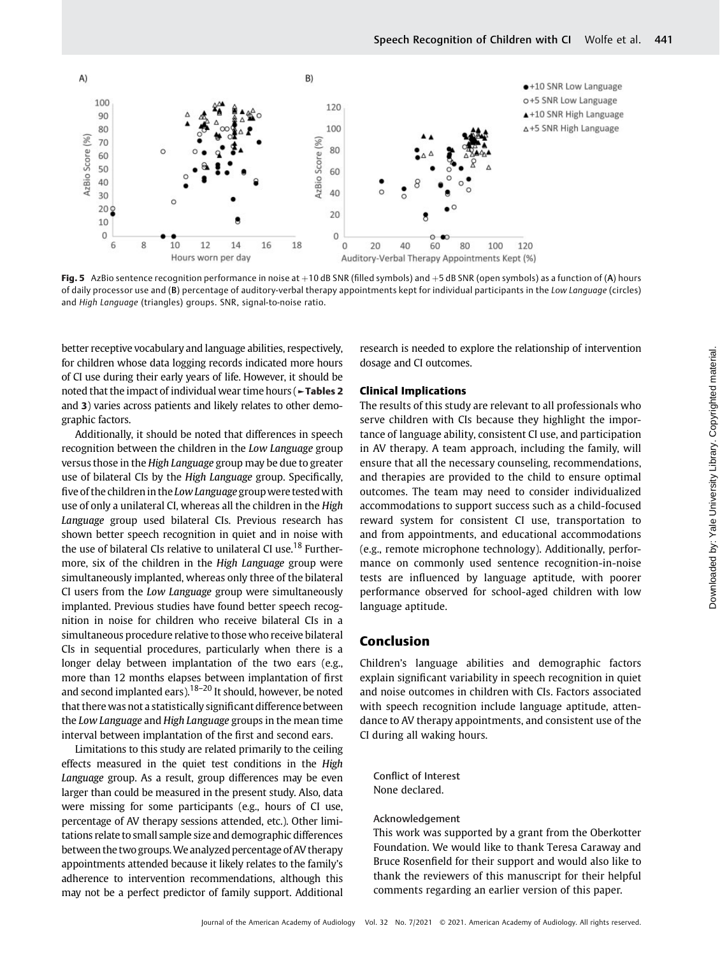

Fig. 5 AzBio sentence recognition performance in noise at  $+10$  dB SNR (filled symbols) and  $+5$  dB SNR (open symbols) as a function of (A) hours of daily processor use and (B) percentage of auditory-verbal therapy appointments kept for individual participants in the Low Language (circles) and High Language (triangles) groups. SNR, signal-to-noise ratio.

better receptive vocabulary and language abilities, respectively, for children whose data logging records indicated more hours of CI use during their early years of life. However, it should be noted that the impact of individual wear time hours (►Tables 2 and 3) varies across patients and likely relates to other demographic factors.

Additionally, it should be noted that differences in speech recognition between the children in the Low Language group versus those in the High Language group may be due to greater use of bilateral CIs by the High Language group. Specifically, five of the children in the Low Language group were tested with use of only a unilateral CI, whereas all the children in the High Language group used bilateral CIs. Previous research has shown better speech recognition in quiet and in noise with the use of bilateral CIs relative to unilateral CI use.<sup>18</sup> Furthermore, six of the children in the High Language group were simultaneously implanted, whereas only three of the bilateral CI users from the Low Language group were simultaneously implanted. Previous studies have found better speech recognition in noise for children who receive bilateral CIs in a simultaneous procedure relative to those who receive bilateral CIs in sequential procedures, particularly when there is a longer delay between implantation of the two ears (e.g., more than 12 months elapses between implantation of first and second implanted ears).<sup>18–20</sup> It should, however, be noted that there was not a statistically significant difference between the Low Language and High Language groups in the mean time interval between implantation of the first and second ears.

Limitations to this study are related primarily to the ceiling effects measured in the quiet test conditions in the High Language group. As a result, group differences may be even larger than could be measured in the present study. Also, data were missing for some participants (e.g., hours of CI use, percentage of AV therapy sessions attended, etc.). Other limitations relate to small sample size and demographic differences between the two groups.We analyzed percentage ofAV therapy appointments attended because it likely relates to the family's adherence to intervention recommendations, although this may not be a perfect predictor of family support. Additional research is needed to explore the relationship of intervention dosage and CI outcomes.

### Clinical Implications

The results of this study are relevant to all professionals who serve children with CIs because they highlight the importance of language ability, consistent CI use, and participation in AV therapy. A team approach, including the family, will ensure that all the necessary counseling, recommendations, and therapies are provided to the child to ensure optimal outcomes. The team may need to consider individualized accommodations to support success such as a child-focused reward system for consistent CI use, transportation to and from appointments, and educational accommodations (e.g., remote microphone technology). Additionally, performance on commonly used sentence recognition-in-noise tests are influenced by language aptitude, with poorer performance observed for school-aged children with low language aptitude.

## Conclusion

Children's language abilities and demographic factors explain significant variability in speech recognition in quiet and noise outcomes in children with CIs. Factors associated with speech recognition include language aptitude, attendance to AV therapy appointments, and consistent use of the CI during all waking hours.

Conflict of Interest None declared.

#### Acknowledgement

This work was supported by a grant from the Oberkotter Foundation. We would like to thank Teresa Caraway and Bruce Rosenfield for their support and would also like to thank the reviewers of this manuscript for their helpful comments regarding an earlier version of this paper.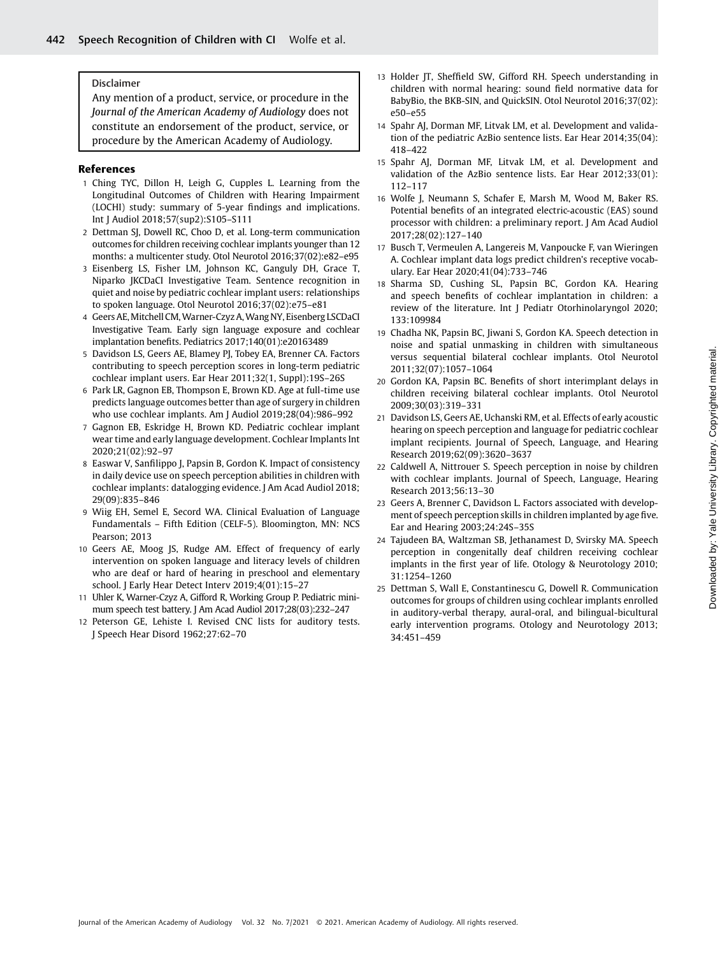#### Disclaimer

Any mention of a product, service, or procedure in the Journal of the American Academy of Audiology does not constitute an endorsement of the product, service, or procedure by the American Academy of Audiology.

#### References

- 1 Ching TYC, Dillon H, Leigh G, Cupples L. Learning from the Longitudinal Outcomes of Children with Hearing Impairment (LOCHI) study: summary of 5-year findings and implications. Int J Audiol 2018;57(sup2):S105–S111
- 2 Dettman SJ, Dowell RC, Choo D, et al. Long-term communication outcomes for children receiving cochlear implants younger than 12 months: a multicenter study. Otol Neurotol 2016;37(02):e82–e95
- 3 Eisenberg LS, Fisher LM, Johnson KC, Ganguly DH, Grace T, Niparko JKCDaCI Investigative Team. Sentence recognition in quiet and noise by pediatric cochlear implant users: relationships to spoken language. Otol Neurotol 2016;37(02):e75–e81
- 4 Geers AE,Mitchell CM,Warner-Czyz A,Wang NY, Eisenberg LSCDaCI Investigative Team. Early sign language exposure and cochlear implantation benefits. Pediatrics 2017;140(01):e20163489
- 5 Davidson LS, Geers AE, Blamey PJ, Tobey EA, Brenner CA. Factors contributing to speech perception scores in long-term pediatric cochlear implant users. Ear Hear 2011;32(1, Suppl):19S–26S
- 6 Park LR, Gagnon EB, Thompson E, Brown KD. Age at full-time use predicts language outcomes better than age of surgery in children who use cochlear implants. Am J Audiol 2019;28(04):986–992
- 7 Gagnon EB, Eskridge H, Brown KD. Pediatric cochlear implant wear time and early language development. Cochlear Implants Int 2020;21(02):92–97
- 8 Easwar V, Sanfilippo J, Papsin B, Gordon K. Impact of consistency in daily device use on speech perception abilities in children with cochlear implants: datalogging evidence. J Am Acad Audiol 2018; 29(09):835–846
- 9 Wiig EH, Semel E, Secord WA. Clinical Evaluation of Language Fundamentals – Fifth Edition (CELF-5). Bloomington, MN: NCS Pearson; 2013
- 10 Geers AE, Moog JS, Rudge AM. Effect of frequency of early intervention on spoken language and literacy levels of children who are deaf or hard of hearing in preschool and elementary school. J Early Hear Detect Interv 2019;4(01):15–27
- 11 Uhler K, Warner-Czyz A, Gifford R, Working Group P. Pediatric minimum speech test battery. J Am Acad Audiol 2017;28(03):232–247
- 12 Peterson GE, Lehiste I. Revised CNC lists for auditory tests. J Speech Hear Disord 1962;27:62–70
- 13 Holder JT, Sheffield SW, Gifford RH. Speech understanding in children with normal hearing: sound field normative data for BabyBio, the BKB-SIN, and QuickSIN. Otol Neurotol 2016;37(02): e50–e55
- 14 Spahr AJ, Dorman MF, Litvak LM, et al. Development and validation of the pediatric AzBio sentence lists. Ear Hear 2014;35(04): 418–422
- 15 Spahr AJ, Dorman MF, Litvak LM, et al. Development and validation of the AzBio sentence lists. Ear Hear 2012;33(01): 112–117
- 16 Wolfe J, Neumann S, Schafer E, Marsh M, Wood M, Baker RS. Potential benefits of an integrated electric-acoustic (EAS) sound processor with children: a preliminary report. J Am Acad Audiol 2017;28(02):127–140
- 17 Busch T, Vermeulen A, Langereis M, Vanpoucke F, van Wieringen A. Cochlear implant data logs predict children's receptive vocabulary. Ear Hear 2020;41(04):733–746
- 18 Sharma SD, Cushing SL, Papsin BC, Gordon KA. Hearing and speech benefits of cochlear implantation in children: a review of the literature. Int J Pediatr Otorhinolaryngol 2020; 133:109984
- 19 Chadha NK, Papsin BC, Jiwani S, Gordon KA. Speech detection in noise and spatial unmasking in children with simultaneous versus sequential bilateral cochlear implants. Otol Neurotol 2011;32(07):1057–1064
- 20 Gordon KA, Papsin BC. Benefits of short interimplant delays in children receiving bilateral cochlear implants. Otol Neurotol 2009;30(03):319–331
- 21 Davidson LS, Geers AE, Uchanski RM, et al. Effects of early acoustic hearing on speech perception and language for pediatric cochlear implant recipients. Journal of Speech, Language, and Hearing Research 2019;62(09):3620–3637
- 22 Caldwell A, Nittrouer S. Speech perception in noise by children with cochlear implants. Journal of Speech, Language, Hearing Research 2013;56:13–30
- 23 Geers A, Brenner C, Davidson L. Factors associated with development of speech perception skills in children implanted by age five. Ear and Hearing 2003;24:24S–35S
- 24 Tajudeen BA, Waltzman SB, Jethanamest D, Svirsky MA. Speech perception in congenitally deaf children receiving cochlear implants in the first year of life. Otology & Neurotology 2010; 31:1254–1260
- 25 Dettman S, Wall E, Constantinescu G, Dowell R. Communication outcomes for groups of children using cochlear implants enrolled in auditory-verbal therapy, aural-oral, and bilingual-bicultural early intervention programs. Otology and Neurotology 2013; 34:451–459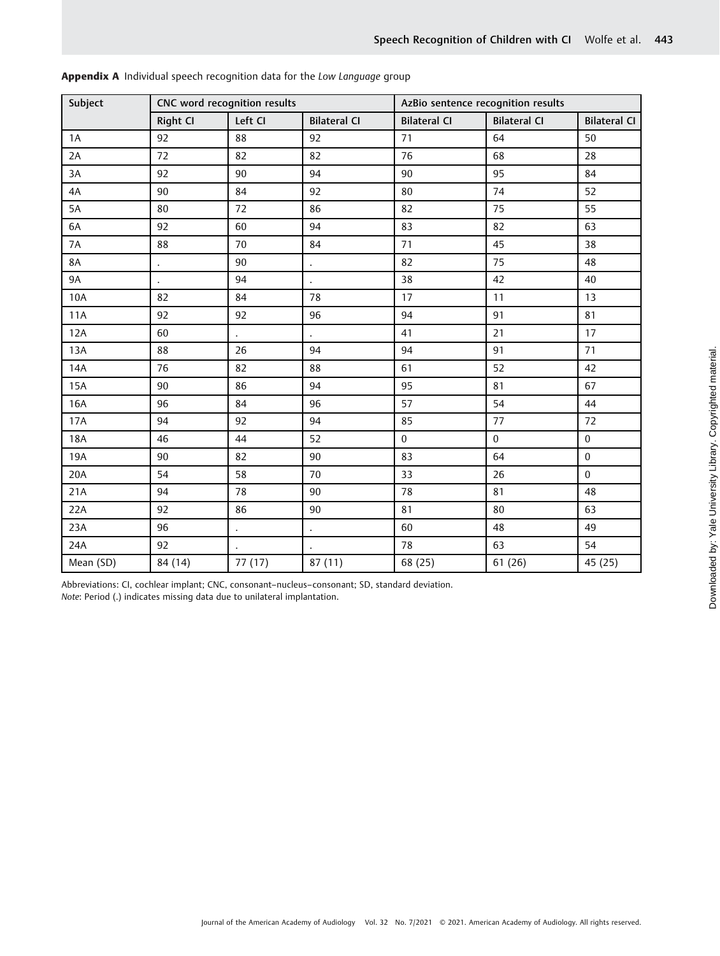| Subject    | CNC word recognition results |         |                      | AzBio sentence recognition results |                     |                     |  |
|------------|------------------------------|---------|----------------------|------------------------------------|---------------------|---------------------|--|
|            | Right CI                     | Left CI | <b>Bilateral CI</b>  | <b>Bilateral CI</b>                | <b>Bilateral CI</b> | <b>Bilateral CI</b> |  |
| 1A         | 92                           | 88      | 92                   | 71                                 | 64                  | 50                  |  |
| 2A         | 72                           | 82      | 82                   | 76                                 | 68                  | 28                  |  |
| 3A         | 92                           | 90      | 94                   | 90                                 | 95                  | 84                  |  |
| 4A         | 90                           | 84      | 92                   | 80                                 | 74                  | 52                  |  |
| 5A         | 80                           | 72      | 86                   | 82                                 | 75                  | 55                  |  |
| 6A         | 92                           | 60      | 94                   | 83                                 | 82                  | 63                  |  |
| 7A         | 88                           | 70      | 84                   | 71                                 | 45                  | 38                  |  |
| <b>8A</b>  | $\ddot{\phantom{0}}$         | 90      | $\bullet$            | 82                                 | 75                  | 48                  |  |
| <b>9A</b>  |                              | 94      | $\bullet$            | 38                                 | 42                  | 40                  |  |
| 10A        | 82                           | 84      | 78                   | 17                                 | 11                  | 13                  |  |
| <b>11A</b> | 92                           | 92      | 96                   | 94                                 | 91                  | 81                  |  |
| 12A        | 60                           |         |                      | 41                                 | 21                  | 17                  |  |
| 13A        | 88                           | 26      | 94                   | 94                                 | 91                  | 71                  |  |
| 14A        | 76                           | 82      | 88                   | 61                                 | 52                  | 42                  |  |
| <b>15A</b> | 90                           | 86      | 94                   | 95                                 | 81                  | 67                  |  |
| 16A        | 96                           | 84      | 96                   | 57                                 | 54                  | 44                  |  |
| 17A        | 94                           | 92      | 94                   | 85                                 | 77                  | 72                  |  |
| <b>18A</b> | 46                           | 44      | 52                   | $\boldsymbol{0}$                   | $\boldsymbol{0}$    | $\pmb{0}$           |  |
| 19A        | 90                           | 82      | 90                   | 83                                 | 64                  | $\bf{0}$            |  |
| 20A        | 54                           | 58      | 70                   | 33                                 | 26                  | $\boldsymbol{0}$    |  |
| 21A        | 94                           | 78      | 90                   | 78                                 | 81                  | 48                  |  |
| 22A        | 92                           | 86      | 90                   | 81                                 | 80                  | 63                  |  |
| 23A        | 96                           |         | $\ddot{\phantom{0}}$ | 60                                 | 48                  | 49                  |  |
| 24A        | 92                           |         |                      | 78                                 | 63                  | 54                  |  |
| Mean (SD)  | 84 (14)                      | 77 (17) | 87 (11)              | 68 (25)                            | 61 (26)             | 45 (25)             |  |

Appendix A Individual speech recognition data for the Low Language group

Abbreviations: CI, cochlear implant; CNC, consonant–nucleus–consonant; SD, standard deviation. Note: Period (.) indicates missing data due to unilateral implantation.